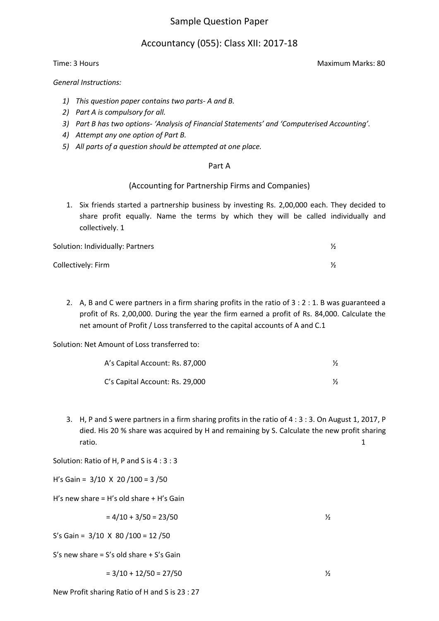# Sample Question Paper

# Accountancy (055): Class XII: 2017-18

*General Instructions:*

- *1) This question paper contains two parts- A and B.*
- *2) Part A is compulsory for all.*
- *3) Part B has two options- 'Analysis of Financial Statements' and 'Computerised Accounting'.*
- *4) Attempt any one option of Part B.*
- *5) All parts of a question should be attempted at one place.*

### Part A

### (Accounting for Partnership Firms and Companies)

1. Six friends started a partnership business by investing Rs. 2,00,000 each. They decided to share profit equally. Name the terms by which they will be called individually and collectively. 1

| Solution: Individually: Partners |  |
|----------------------------------|--|
| Collectively: Firm               |  |

2. A, B and C were partners in a firm sharing profits in the ratio of 3 : 2 : 1. B was guaranteed a profit of Rs. 2,00,000. During the year the firm earned a profit of Rs. 84,000. Calculate the net amount of Profit / Loss transferred to the capital accounts of A and C.1

Solution: Net Amount of Loss transferred to:

| A's Capital Account: Rs. 87,000 |  |
|---------------------------------|--|
| C's Capital Account: Rs. 29,000 |  |

3. H, P and S were partners in a firm sharing profits in the ratio of 4 : 3 : 3. On August 1, 2017, P died. His 20 % share was acquired by H and remaining by S. Calculate the new profit sharing ratio. 1

Solution: Ratio of H, P and S is 4 : 3 : 3

H's Gain =  $3/10 \times 20 / 100 = 3 / 50$ 

H's new share = H's old share  $+$  H's Gain

$$
= 4/10 + 3/50 = 23/50
$$

S's Gain = 3/10 X 80 /100 = 12 /50

S's new share = S's old share + S's Gain

$$
= 3/10 + 12/50 = 27/50
$$

New Profit sharing Ratio of H and S is 23 : 27

Time: 3 Hours Maximum Marks: 80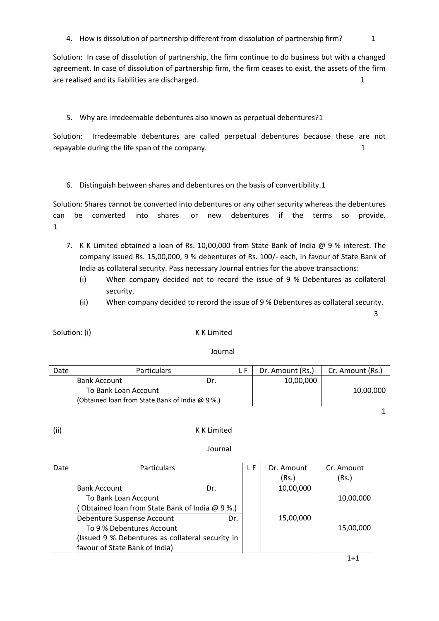4. How is dissolution of partnership different from dissolution of partnership firm? 1

Solution: In case of dissolution of partnership, the firm continue to do business but with a changed agreement. In case of dissolution of partnership firm, the firm ceases to exist, the assets of the firm are realised and its liabilities are discharged. 1 and 1 and 2 and 2 and 2 and 2 and 2 and 2 and 2 and 2 and 2 and 2 and 2 and 2 and 2 and 2 and 2 and 2 and 2 and 2 and 2 and 2 and 2 and 2 and 2 and 2 and 2 and 2 and 2 and

5. Why are irredeemable debentures also known as perpetual debentures?1

Solution: Irredeemable debentures are called perpetual debentures because these are not repayable during the life span of the company. 1 and 1 and 2 and 2 and 2 and 2 and 2 and 2 and 2 and 2 and 2 and 2 and 2 and 2 and 2 and 2 and 2 and 2 and 2 and 2 and 2 and 2 and 2 and 2 and 2 and 2 and 2 and 2 and 2 and 2

6. Distinguish between shares and debentures on the basis of convertibility.1

Solution: Shares cannot be converted into debentures or any other security whereas the debentures can be converted into shares or new debentures if the terms so provide. 1

- 7. K K Limited obtained a loan of Rs. 10,00,000 from State Bank of India @ 9 % interest. The company issued Rs. 15,00,000, 9 % debentures of Rs. 100/- each, in favour of State Bank of India as collateral security. Pass necessary Journal entries for the above transactions:
	- (i) When company decided not to record the issue of 9 % Debentures as collateral security.
	- (ii) When company decided to record the issue of 9 % Debentures as collateral security.

 $\sim$  3

Solution: (i) K K Limited

### Journal

| Date                 | <b>Particulars</b>                              |     | Dr. Amount (Rs.) | Cr. Amount (Rs.) |
|----------------------|-------------------------------------------------|-----|------------------|------------------|
|                      | <b>Bank Account</b>                             | Dr. | 10,00,000        |                  |
| To Bank Loan Account |                                                 |     |                  | 10,00,000        |
|                      | (Obtained loan from State Bank of India @ 9 %.) |     |                  |                  |

1

### (ii) K K Limited

| Date | <b>Particulars</b>                               | L F | Dr. Amount | Cr. Amount |
|------|--------------------------------------------------|-----|------------|------------|
|      |                                                  |     | (Rs.)      | (Rs.)      |
|      | <b>Bank Account</b><br>Dr.                       |     | 10,00,000  |            |
|      | To Bank Loan Account                             |     |            | 10,00,000  |
|      | Obtained loan from State Bank of India @ 9%.)    |     |            |            |
|      | Debenture Suspense Account<br>Dr.                |     | 15,00,000  |            |
|      | To 9 % Debentures Account                        |     |            | 15,00,000  |
|      | (Issued 9 % Debentures as collateral security in |     |            |            |
|      | favour of State Bank of India)                   |     |            |            |
|      |                                                  |     |            | 1+1        |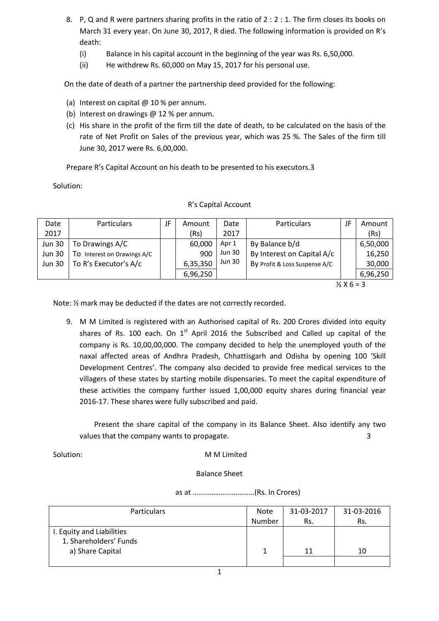- 8. P, Q and R were partners sharing profits in the ratio of 2 : 2 : 1. The firm closes its books on March 31 every year. On June 30, 2017, R died. The following information is provided on R's death:
	- (i) Balance in his capital account in the beginning of the year was Rs. 6,50,000.
	- (ii) He withdrew Rs. 60,000 on May 15, 2017 for his personal use.

On the date of death of a partner the partnership deed provided for the following:

- (a) Interest on capital @ 10 % per annum.
- (b) Interest on drawings @ 12 % per annum.
- (c) His share in the profit of the firm till the date of death, to be calculated on the basis of the rate of Net Profit on Sales of the previous year, which was 25 %. The Sales of the firm till June 30, 2017 were Rs. 6,00,000.

Prepare R's Capital Account on his death to be presented to his executors.3

Solution:

| Date          | <b>Particulars</b>          | JF | Amount   | Date          | Particulars                   | JF | Amount   |
|---------------|-----------------------------|----|----------|---------------|-------------------------------|----|----------|
| 2017          |                             |    | (Rs)     | 2017          |                               |    | (Rs)     |
| <b>Jun 30</b> | To Drawings A/C             |    | 60,000   | Apr 1         | By Balance b/d                |    | 6,50,000 |
| <b>Jun 30</b> | To Interest on Drawings A/C |    | 900      | <b>Jun 30</b> | By Interest on Capital A/c    |    | 16,250   |
| <b>Jun 30</b> | To R's Executor's A/c       |    | 6,35,350 | <b>Jun 30</b> | By Profit & Loss Suspense A/C |    | 30,000   |
|               |                             |    | 6,96,250 |               |                               |    | 6,96,250 |
|               |                             |    |          |               |                               |    |          |

#### R's Capital Account

 $\frac{1}{2}$  X 6 = 3

Note: ½ mark may be deducted if the dates are not correctly recorded.

9. M M Limited is registered with an Authorised capital of Rs. 200 Crores divided into equity shares of Rs. 100 each. On  $1<sup>st</sup>$  April 2016 the Subscribed and Called up capital of the company is Rs. 10,00,00,000. The company decided to help the unemployed youth of the naxal affected areas of Andhra Pradesh, Chhattisgarh and Odisha by opening 100 'Skill Development Centres'. The company also decided to provide free medical services to the villagers of these states by starting mobile dispensaries. To meet the capital expenditure of these activities the company further issued 1,00,000 equity shares during financial year 2016-17. These shares were fully subscribed and paid.

 Present the share capital of the company in its Balance Sheet. Also identify any two values that the company wants to propagate.  $\qquad \qquad$  3

#### Solution: MM Limited

#### Balance Sheet

as at ……………………………(Rs. In Crores)

| <b>Particulars</b>        | <b>Note</b> | 31-03-2017 | 31-03-2016 |
|---------------------------|-------------|------------|------------|
|                           | Number      | Rs.        | Rs.        |
| I. Equity and Liabilities |             |            |            |
| 1. Shareholders' Funds    |             |            |            |
| a) Share Capital          |             | 11         | 10         |
|                           |             |            |            |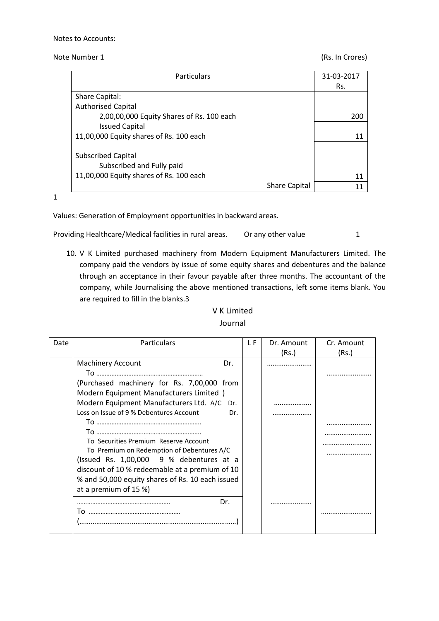### Note Number 1 (Rs. In Crores)

| <b>Particulars</b>                        | 31-03-2017 |
|-------------------------------------------|------------|
|                                           | Rs.        |
| Share Capital:                            |            |
| <b>Authorised Capital</b>                 |            |
| 2,00,00,000 Equity Shares of Rs. 100 each | 200        |
| <b>Issued Capital</b>                     |            |
| 11,00,000 Equity shares of Rs. 100 each   | 11         |
|                                           |            |
| <b>Subscribed Capital</b>                 |            |
| Subscribed and Fully paid                 |            |
| 11,00,000 Equity shares of Rs. 100 each   | 11         |
| <b>Share Capital</b>                      | 11         |

1

Values: Generation of Employment opportunities in backward areas.

Providing Healthcare/Medical facilities in rural areas. Or any other value 1

10. V K Limited purchased machinery from Modern Equipment Manufacturers Limited. The company paid the vendors by issue of some equity shares and debentures and the balance through an acceptance in their favour payable after three months. The accountant of the company, while Journalising the above mentioned transactions, left some items blank. You are required to fill in the blanks.3

| Date | <b>Particulars</b>                               | L F | Dr. Amount | Cr. Amount |
|------|--------------------------------------------------|-----|------------|------------|
|      |                                                  |     | (Rs.)      | (Rs.)      |
|      | <b>Machinery Account</b><br>Dr.                  |     |            |            |
|      |                                                  |     |            |            |
|      | (Purchased machinery for Rs. 7,00,000 from       |     |            |            |
|      | Modern Equipment Manufacturers Limited )         |     |            |            |
|      | Modern Equipment Manufacturers Ltd. A/C<br>Dr.   |     |            |            |
|      | Loss on Issue of 9 % Debentures Account<br>Dr.   |     |            |            |
|      |                                                  |     |            |            |
|      |                                                  |     |            |            |
|      | To Securities Premium Reserve Account            |     |            |            |
|      | To Premium on Redemption of Debentures A/C       |     |            |            |
|      | (Issued Rs. 1,00,000 9 % debentures at a         |     |            |            |
|      | discount of 10 % redeemable at a premium of 10   |     |            |            |
|      | % and 50,000 equity shares of Rs. 10 each issued |     |            |            |
|      | at a premium of 15 %)                            |     |            |            |
|      | Dr.                                              |     |            |            |
|      | ١o                                               |     |            |            |
|      |                                                  |     |            |            |
|      |                                                  |     |            |            |

V K Limited Journal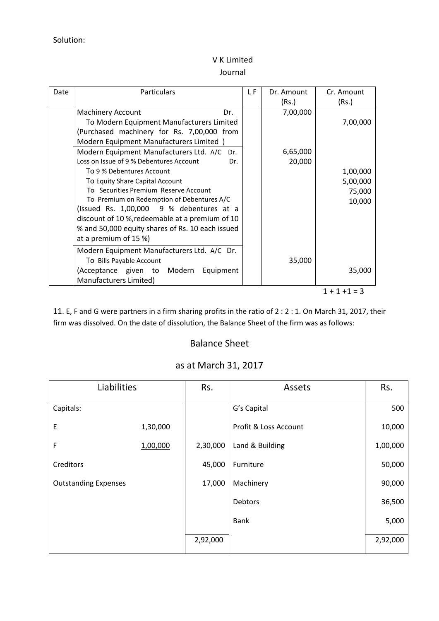# V K Limited

### Journal

| Date | Particulars                                      | L F | Dr. Amount | Cr. Amount |
|------|--------------------------------------------------|-----|------------|------------|
|      | Dr.                                              |     | (Rs.)      | (Rs.)      |
|      | <b>Machinery Account</b>                         |     | 7,00,000   |            |
|      | To Modern Equipment Manufacturers Limited        |     |            | 7,00,000   |
|      | (Purchased machinery for Rs. 7,00,000 from       |     |            |            |
|      | Modern Equipment Manufacturers Limited )         |     |            |            |
|      | Modern Equipment Manufacturers Ltd. A/C<br>Dr.   |     | 6,65,000   |            |
|      | Loss on Issue of 9 % Debentures Account<br>Dr.   |     | 20,000     |            |
|      | To 9 % Debentures Account                        |     |            | 1,00,000   |
|      | To Equity Share Capital Account                  |     |            | 5,00,000   |
|      | To Securities Premium Reserve Account            |     |            | 75,000     |
|      | To Premium on Redemption of Debentures A/C       |     |            | 10,000     |
|      | (Issued Rs. $1,00,000$ 9 % debentures at a       |     |            |            |
|      | discount of 10 %, redeemable at a premium of 10  |     |            |            |
|      | % and 50,000 equity shares of Rs. 10 each issued |     |            |            |
|      | at a premium of 15 %)                            |     |            |            |
|      | Modern Equipment Manufacturers Ltd. A/C Dr.      |     |            |            |
|      | To Bills Payable Account                         |     | 35,000     |            |
|      | (Acceptance given to Modern<br>Equipment         |     |            | 35,000     |
|      | Manufacturers Limited)                           |     |            |            |

 $1 + 1 + 1 = 3$ 

11. E, F and G were partners in a firm sharing profits in the ratio of 2 : 2 : 1. On March 31, 2017, their firm was dissolved. On the date of dissolution, the Balance Sheet of the firm was as follows:

# Balance Sheet

| Liabilities                 |          | Rs.      | Assets                | Rs.      |
|-----------------------------|----------|----------|-----------------------|----------|
| Capitals:                   |          |          | G's Capital           | 500      |
| E                           | 1,30,000 |          | Profit & Loss Account | 10,000   |
| F                           | 1,00,000 | 2,30,000 | Land & Building       | 1,00,000 |
| Creditors                   |          | 45,000   | Furniture             | 50,000   |
| <b>Outstanding Expenses</b> |          | 17,000   | Machinery             | 90,000   |
|                             |          |          | Debtors               | 36,500   |
|                             |          |          | <b>Bank</b>           | 5,000    |
|                             |          | 2,92,000 |                       | 2,92,000 |

# as at March 31, 2017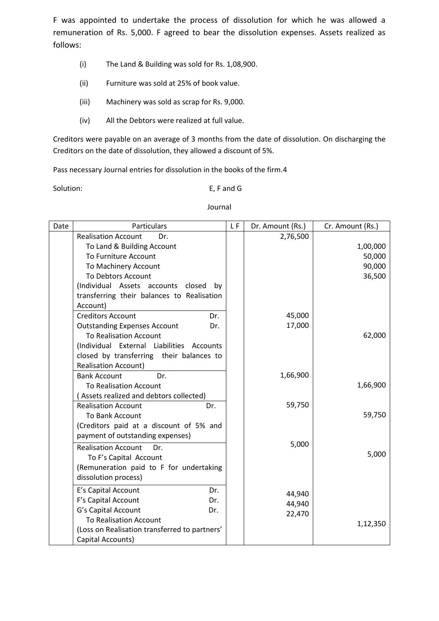F was appointed to undertake the process of dissolution for which he was allowed a remuneration of Rs. 5,000. F agreed to bear the dissolution expenses. Assets realized as follows:

- (i) The Land & Building was sold for Rs. 1,08,900.
- (ii) Furniture was sold at 25% of book value.
- (iii) Machinery was sold as scrap for Rs. 9,000.
- (iv) All the Debtors were realized at full value.

Creditors were payable on an average of 3 months from the date of dissolution. On discharging the Creditors on the date of dissolution, they allowed a discount of 5%.

Pass necessary Journal entries for dissolution in the books of the firm.4

Solution: E, F and G

| Date | Particulars                                   | LF. | Dr. Amount (Rs.) | Cr. Amount (Rs.) |
|------|-----------------------------------------------|-----|------------------|------------------|
|      | <b>Realisation Account</b><br>Dr.             |     | 2,76,500         |                  |
|      | To Land & Building Account                    |     |                  | 1,00,000         |
|      | To Furniture Account                          |     |                  | 50,000           |
|      | To Machinery Account                          |     |                  | 90,000           |
|      | To Debtors Account                            |     |                  | 36,500           |
|      | (Individual Assets accounts closed<br>bv      |     |                  |                  |
|      | transferring their balances to Realisation    |     |                  |                  |
|      | Account)                                      |     |                  |                  |
|      | <b>Creditors Account</b><br>Dr.               |     | 45,000           |                  |
|      | <b>Outstanding Expenses Account</b><br>Dr.    |     | 17,000           |                  |
|      | <b>To Realisation Account</b>                 |     |                  | 62,000           |
|      | (Individual External Liabilities Accounts     |     |                  |                  |
|      | closed by transferring their balances to      |     |                  |                  |
|      | <b>Realisation Account)</b>                   |     |                  |                  |
|      | <b>Bank Account</b><br>Dr.                    |     | 1,66,900         |                  |
|      | <b>To Realisation Account</b>                 |     |                  | 1,66,900         |
|      | (Assets realized and debtors collected)       |     |                  |                  |
|      | <b>Realisation Account</b><br>Dr.             |     | 59,750           |                  |
|      | To Bank Account                               |     |                  | 59,750           |
|      | (Creditors paid at a discount of 5% and       |     |                  |                  |
|      | payment of outstanding expenses)              |     |                  |                  |
|      | <b>Realisation Account</b><br>Dr.             |     | 5,000            |                  |
|      | To F's Capital Account                        |     |                  | 5,000            |
|      | (Remuneration paid to F for undertaking       |     |                  |                  |
|      | dissolution process)                          |     |                  |                  |
|      | E's Capital Account<br>Dr.                    |     |                  |                  |
|      | F's Capital Account<br>Dr.                    |     | 44,940           |                  |
|      | G's Capital Account<br>Dr.                    |     | 44,940           |                  |
|      | <b>To Realisation Account</b>                 |     | 22,470           |                  |
|      | (Loss on Realisation transferred to partners' |     |                  | 1,12,350         |
|      | Capital Accounts)                             |     |                  |                  |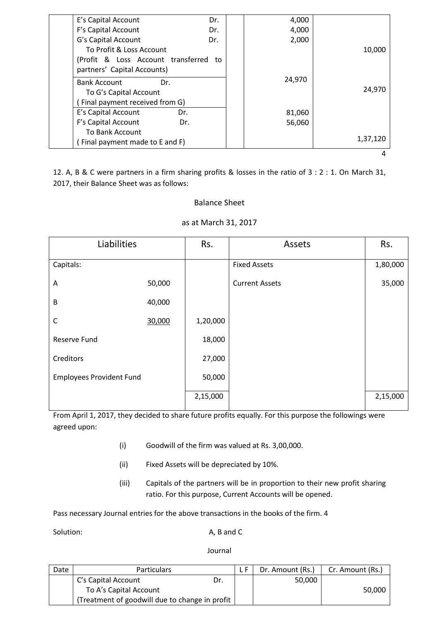| E's Capital Account                   | Dr. | 4,000  |          |
|---------------------------------------|-----|--------|----------|
| F's Capital Account                   | Dr. | 4,000  |          |
| G's Capital Account                   | Dr. | 2,000  |          |
| To Profit & Loss Account              |     |        | 10,000   |
| (Profit & Loss Account transferred to |     |        |          |
| partners' Capital Accounts)           |     |        |          |
| <b>Bank Account</b>                   | Dr. | 24,970 |          |
| To G's Capital Account                |     |        | 24,970   |
| Final payment received from G)        |     |        |          |
| E's Capital Account                   | Dr. | 81,060 |          |
| F's Capital Account                   | Dr. | 56,060 |          |
| To Bank Account                       |     |        |          |
| (Final payment made to E and F)       |     |        | 1,37,120 |
|                                       |     |        |          |

12. A, B & C were partners in a firm sharing profits & losses in the ratio of 3 : 2 : 1. On March 31, 2017, their Balance Sheet was as follows:

## Balance Sheet

### as at March 31, 2017

| Liabilities                     |        | Rs.      | Assets                | Rs.      |
|---------------------------------|--------|----------|-----------------------|----------|
| Capitals:                       |        |          | <b>Fixed Assets</b>   | 1,80,000 |
| Α                               | 50,000 |          | <b>Current Assets</b> | 35,000   |
| B                               | 40,000 |          |                       |          |
| $\mathsf{C}$                    | 30,000 | 1,20,000 |                       |          |
| Reserve Fund                    |        | 18,000   |                       |          |
| Creditors                       |        | 27,000   |                       |          |
| <b>Employees Provident Fund</b> |        | 50,000   |                       |          |
|                                 |        | 2,15,000 |                       | 2,15,000 |

From April 1, 2017, they decided to share future profits equally. For this purpose the followings were agreed upon:

- (i) Goodwill of the firm was valued at Rs. 3,00,000.
- (ii) Fixed Assets will be depreciated by 10%.
- (iii) Capitals of the partners will be in proportion to their new profit sharing ratio. For this purpose, Current Accounts will be opened.

Pass necessary Journal entries for the above transactions in the books of the firm. 4

Solution: A, B and C

| Date                   | <b>Particulars</b>                             |     |  | Dr. Amount (Rs.) | Cr. Amount (Rs.) |
|------------------------|------------------------------------------------|-----|--|------------------|------------------|
|                        | C's Capital Account                            | Dr. |  | 50,000           |                  |
| To A's Capital Account |                                                |     |  |                  | 50,000           |
|                        | (Treatment of goodwill due to change in profit |     |  |                  |                  |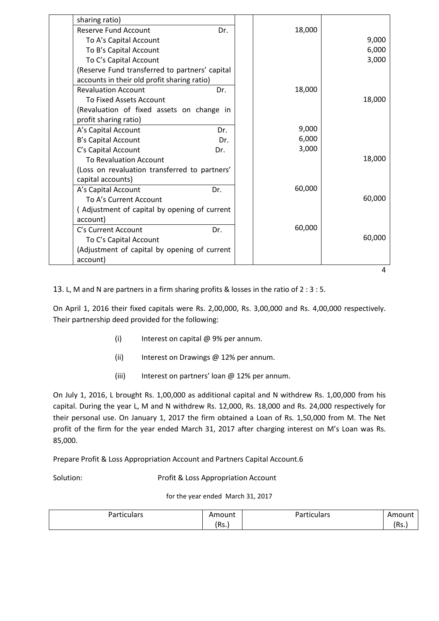| sharing ratio)                                 |     |        |        |
|------------------------------------------------|-----|--------|--------|
| <b>Reserve Fund Account</b>                    | Dr. | 18,000 |        |
| To A's Capital Account                         |     |        | 9,000  |
| To B's Capital Account                         |     |        | 6,000  |
| To C's Capital Account                         |     |        | 3,000  |
| (Reserve Fund transferred to partners' capital |     |        |        |
| accounts in their old profit sharing ratio)    |     |        |        |
| <b>Revaluation Account</b>                     | Dr. | 18,000 |        |
| To Fixed Assets Account                        |     |        | 18,000 |
| (Revaluation of fixed assets on change in      |     |        |        |
| profit sharing ratio)                          |     |        |        |
| A's Capital Account                            | Dr. | 9,000  |        |
| B's Capital Account                            | Dr. | 6,000  |        |
| C's Capital Account                            | Dr. | 3,000  |        |
| To Revaluation Account                         |     |        | 18,000 |
| (Loss on revaluation transferred to partners'  |     |        |        |
| capital accounts)                              |     |        |        |
| A's Capital Account                            | Dr. | 60,000 |        |
| To A's Current Account                         |     |        | 60,000 |
| (Adjustment of capital by opening of current   |     |        |        |
| account)                                       |     |        |        |
| C's Current Account                            | Dr. | 60,000 |        |
| To C's Capital Account                         |     |        | 60,000 |
| (Adjustment of capital by opening of current   |     |        |        |
| account)                                       |     |        |        |
|                                                |     |        | 4      |

13. L, M and N are partners in a firm sharing profits & losses in the ratio of 2 : 3 : 5.

On April 1, 2016 their fixed capitals were Rs. 2,00,000, Rs. 3,00,000 and Rs. 4,00,000 respectively. Their partnership deed provided for the following:

- (i) Interest on capital @ 9% per annum.
- (ii) Interest on Drawings @ 12% per annum.
- (iii) Interest on partners' loan @ 12% per annum.

On July 1, 2016, L brought Rs. 1,00,000 as additional capital and N withdrew Rs. 1,00,000 from his capital. During the year L, M and N withdrew Rs. 12,000, Rs. 18,000 and Rs. 24,000 respectively for their personal use. On January 1, 2017 the firm obtained a Loan of Rs. 1,50,000 from M. The Net profit of the firm for the year ended March 31, 2017 after charging interest on M's Loan was Rs. 85,000.

Prepare Profit & Loss Appropriation Account and Partners Capital Account.6

Solution: Profit & Loss Appropriation Account

for the year ended March 31, 2017

| Particulars | Amount | D <sub>2</sub><br>$\cdot$ $\cdot$<br>rticulars<br>. un<br>'αι | Amount |
|-------------|--------|---------------------------------------------------------------|--------|
|             | (Rs)   |                                                               | 'Rs.   |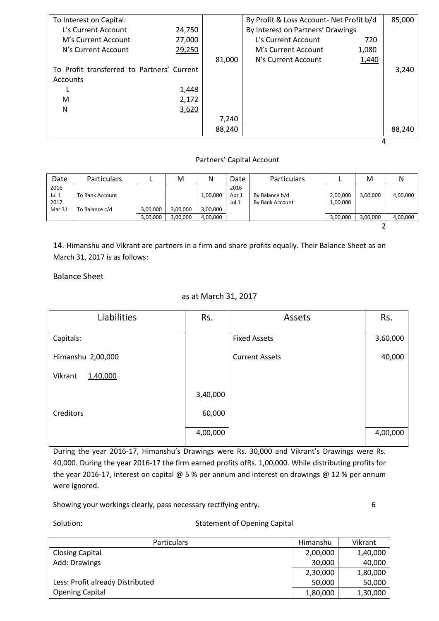| To Interest on Capital:                    |        |        | By Profit & Loss Account- Net Profit b/d |       | 85,000 |
|--------------------------------------------|--------|--------|------------------------------------------|-------|--------|
| L's Current Account                        | 24,750 |        | By Interest on Partners' Drawings        |       |        |
| M's Current Account                        | 27,000 |        | L's Current Account                      | 720   |        |
| N's Current Account                        | 29,250 |        | M's Current Account                      | 1,080 |        |
|                                            |        | 81,000 | N's Current Account                      | 1,440 |        |
| To Profit transferred to Partners' Current |        |        |                                          |       | 3,240  |
| Accounts                                   |        |        |                                          |       |        |
|                                            | 1,448  |        |                                          |       |        |
| M                                          | 2,172  |        |                                          |       |        |
| N                                          | 3,620  |        |                                          |       |        |
|                                            |        | 7,240  |                                          |       |        |
|                                            |        | 88,240 |                                          |       | 88,240 |
|                                            |        |        |                                          |       |        |

#### Partners' Capital Account

| Date   | <b>Particulars</b> |          | M        | N        | Date  | <b>Particulars</b> |          | M        |          |
|--------|--------------------|----------|----------|----------|-------|--------------------|----------|----------|----------|
| 2016   |                    |          |          |          | 2016  |                    |          |          |          |
| Jul 1  | To Bank Account    |          |          | 1,00,000 | Apr 1 | By Balance b/d     | 2,00,000 | 3,00,000 | 4,00,000 |
| 2017   |                    |          |          |          | Jul 1 | By Bank Account    | 1,00,000 |          |          |
| Mar 31 | To Balance c/d     | 3,00,000 | 3,00,000 | 3,00,000 |       |                    |          |          |          |
|        |                    | 3,00,000 | 3,00,000 | 4,00,000 |       |                    | 3,00,000 | 3,00,000 | 4,00,000 |
|        |                    |          |          |          |       |                    |          |          |          |

14. Himanshu and Vikrant are partners in a firm and share profits equally. Their Balance Sheet as on March 31, 2017 is as follows:

Balance Sheet

### as at March 31, 2017

| Liabilities         | Rs.      | Assets                | Rs.      |
|---------------------|----------|-----------------------|----------|
|                     |          |                       |          |
| Capitals:           |          | <b>Fixed Assets</b>   | 3,60,000 |
| Himanshu 2,00,000   |          | <b>Current Assets</b> | 40,000   |
| Vikrant<br>1,40,000 |          |                       |          |
|                     | 3,40,000 |                       |          |
| Creditors           | 60,000   |                       |          |
|                     | 4,00,000 |                       | 4,00,000 |

During the year 2016-17, Himanshu's Drawings were Rs. 30,000 and Vikrant's Drawings were Rs. 40,000. During the year 2016-17 the firm earned profits ofRs. 1,00,000. While distributing profits for the year 2016-17, interest on capital @ 5 % per annum and interest on drawings @ 12 % per annum were ignored.

Showing your workings clearly, pass necessary rectifying entry. **Example 20** 6

### Solution: Solution: Statement of Opening Capital

| <b>Particulars</b>               | Himanshu | Vikrant  |
|----------------------------------|----------|----------|
| <b>Closing Capital</b>           | 2,00,000 | 1,40,000 |
| Add: Drawings                    | 30,000   | 40,000   |
|                                  | 2,30,000 | 1,80,000 |
| Less: Profit already Distributed | 50,000   | 50,000   |
| <b>Opening Capital</b>           | 1,80,000 | 1,30,000 |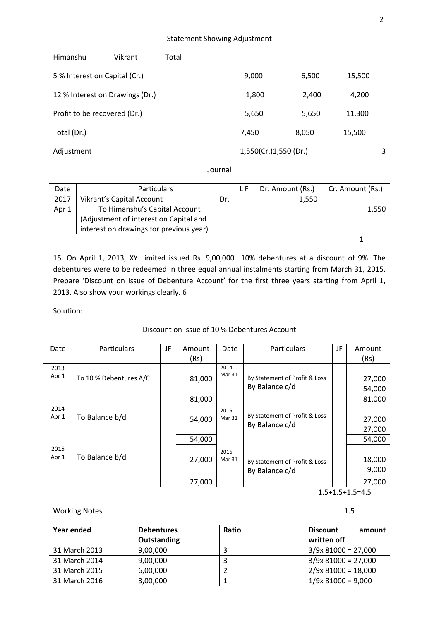| Himanshu                        | Vikrant | Total |                       |       |        |   |
|---------------------------------|---------|-------|-----------------------|-------|--------|---|
| 5 % Interest on Capital (Cr.)   |         |       | 9,000                 | 6,500 | 15,500 |   |
| 12 % Interest on Drawings (Dr.) |         |       | 1,800                 | 2,400 | 4,200  |   |
| Profit to be recovered (Dr.)    |         |       | 5,650                 | 5,650 | 11,300 |   |
| Total (Dr.)                     |         |       | 7,450                 | 8,050 | 15,500 |   |
| Adjustment                      |         |       | 1,550(Cr.)1,550 (Dr.) |       |        | 3 |

Journal

| Date  | <b>Particulars</b>                      |     | Dr. Amount (Rs.) | Cr. Amount (Rs.) |
|-------|-----------------------------------------|-----|------------------|------------------|
| 2017  | Vikrant's Capital Account               | Dr. | 1,550            |                  |
| Apr 1 | To Himanshu's Capital Account           |     |                  | 1,550            |
|       | (Adjustment of interest on Capital and  |     |                  |                  |
|       | interest on drawings for previous year) |     |                  |                  |
|       |                                         |     |                  |                  |

15. On April 1, 2013, XY Limited issued Rs. 9,00,000 10% debentures at a discount of 9%. The debentures were to be redeemed in three equal annual instalments starting from March 31, 2015. Prepare 'Discount on Issue of Debenture Account' for the first three years starting from April 1, 2013. Also show your workings clearly. 6

Solution:

### Discount on Issue of 10 % Debentures Account

| Date  | <b>Particulars</b>     | JF | Amount | Date   | <b>Particulars</b>            | JF | Amount |
|-------|------------------------|----|--------|--------|-------------------------------|----|--------|
|       |                        |    | (Rs)   |        |                               |    | (Rs)   |
| 2013  |                        |    |        | 2014   |                               |    |        |
| Apr 1 | To 10 % Debentures A/C |    | 81,000 | Mar 31 | By Statement of Profit & Loss |    | 27,000 |
|       |                        |    |        |        | By Balance c/d                |    | 54,000 |
|       |                        |    | 81,000 |        |                               |    | 81,000 |
| 2014  |                        |    |        | 2015   |                               |    |        |
| Apr 1 | To Balance b/d         |    | 54,000 | Mar 31 | By Statement of Profit & Loss |    | 27,000 |
|       |                        |    |        |        | By Balance c/d                |    | 27,000 |
|       |                        |    | 54,000 |        |                               |    | 54,000 |
| 2015  |                        |    |        | 2016   |                               |    |        |
| Apr 1 | To Balance b/d         |    | 27,000 | Mar 31 | By Statement of Profit & Loss |    | 18,000 |
|       |                        |    |        |        | By Balance c/d                |    | 9,000  |
|       |                        |    | 27,000 |        |                               |    | 27,000 |

1.5+1.5+1.5=4.5

Working Notes 2015 2016 2022 1.5

| Year ended    | <b>Debentures</b> | Ratio | amount<br><b>Discount</b> |
|---------------|-------------------|-------|---------------------------|
|               | Outstanding       |       | written off               |
| 31 March 2013 | 9,00,000          |       | $3/9x 81000 = 27,000$     |
| 31 March 2014 | 9,00,000          |       | $3/9x 81000 = 27,000$     |
| 31 March 2015 | 6,00,000          |       | $2/9x 81000 = 18,000$     |
| 31 March 2016 | 3,00,000          |       | $1/9x$ 81000 = 9,000      |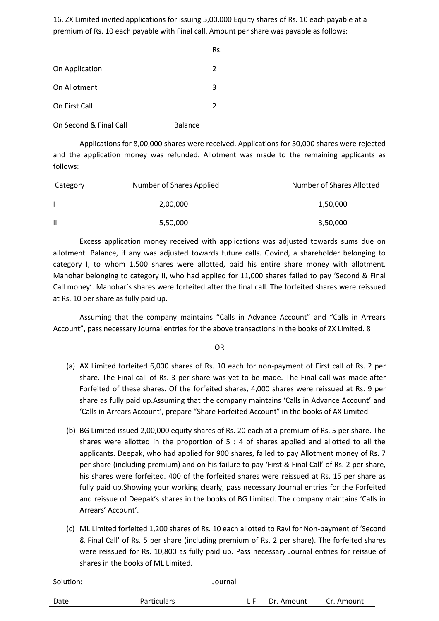16. ZX Limited invited applications for issuing 5,00,000 Equity shares of Rs. 10 each payable at a premium of Rs. 10 each payable with Final call. Amount per share was payable as follows:

|                        |                | Rs. |
|------------------------|----------------|-----|
| On Application         |                | 2   |
| On Allotment           |                | 3   |
| On First Call          |                | 2   |
| On Second & Final Call | <b>Balance</b> |     |

Applications for 8,00,000 shares were received. Applications for 50,000 shares were rejected and the application money was refunded. Allotment was made to the remaining applicants as follows:

| Category | Number of Shares Applied | Number of Shares Allotted |
|----------|--------------------------|---------------------------|
|          | 2,00,000                 | 1,50,000                  |
| Ш        | 5,50,000                 | 3,50,000                  |

Excess application money received with applications was adjusted towards sums due on allotment. Balance, if any was adjusted towards future calls. Govind, a shareholder belonging to category I, to whom 1,500 shares were allotted, paid his entire share money with allotment. Manohar belonging to category II, who had applied for 11,000 shares failed to pay 'Second & Final Call money'. Manohar's shares were forfeited after the final call. The forfeited shares were reissued at Rs. 10 per share as fully paid up.

Assuming that the company maintains "Calls in Advance Account" and "Calls in Arrears Account", pass necessary Journal entries for the above transactions in the books of ZX Limited. 8

OR

- (a) AX Limited forfeited 6,000 shares of Rs. 10 each for non-payment of First call of Rs. 2 per share. The Final call of Rs. 3 per share was yet to be made. The Final call was made after Forfeited of these shares. Of the forfeited shares, 4,000 shares were reissued at Rs. 9 per share as fully paid up.Assuming that the company maintains 'Calls in Advance Account' and 'Calls in Arrears Account', prepare "Share Forfeited Account" in the books of AX Limited.
- (b) BG Limited issued 2,00,000 equity shares of Rs. 20 each at a premium of Rs. 5 per share. The shares were allotted in the proportion of  $5:4$  of shares applied and allotted to all the applicants. Deepak, who had applied for 900 shares, failed to pay Allotment money of Rs. 7 per share (including premium) and on his failure to pay 'First & Final Call' of Rs. 2 per share, his shares were forfeited. 400 of the forfeited shares were reissued at Rs. 15 per share as fully paid up.Showing your working clearly, pass necessary Journal entries for the Forfeited and reissue of Deepak's shares in the books of BG Limited. The company maintains 'Calls in Arrears' Account'.
- (c) ML Limited forfeited 1,200 shares of Rs. 10 each allotted to Ravi for Non-payment of 'Second & Final Call' of Rs. 5 per share (including premium of Rs. 2 per share). The forfeited shares were reissued for Rs. 10,800 as fully paid up. Pass necessary Journal entries for reissue of shares in the books of ML Limited.

| Date<br>Amount<br>Amount<br>D٢<br>.<br>uculdis<br>aı<br>. . |
|-------------------------------------------------------------|
|-------------------------------------------------------------|

Solution: Journal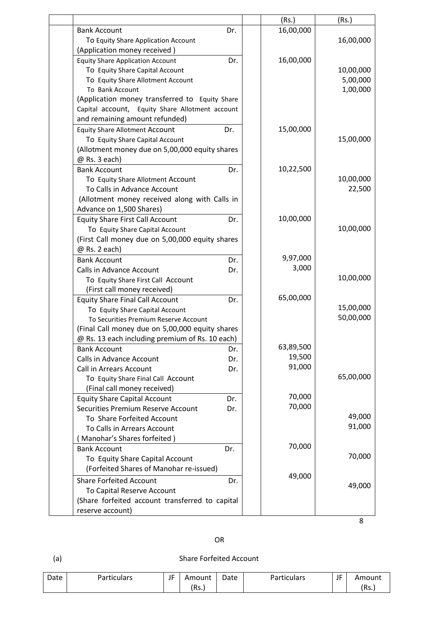|                                                                   |     | (Rs.)     | (Rs.)     |
|-------------------------------------------------------------------|-----|-----------|-----------|
| <b>Bank Account</b>                                               | Dr. | 16,00,000 |           |
| To Equity Share Application Account                               |     |           | 16,00,000 |
| (Application money received)                                      |     |           |           |
| <b>Equity Share Application Account</b>                           | Dr. | 16,00,000 |           |
| To Equity Share Capital Account                                   |     |           | 10,00,000 |
| To Equity Share Allotment Account                                 |     |           | 5,00,000  |
| To Bank Account                                                   |     |           | 1,00,000  |
| (Application money transferred to Equity Share                    |     |           |           |
| Capital account, Equity Share Allotment account                   |     |           |           |
| and remaining amount refunded)                                    |     |           |           |
| <b>Equity Share Allotment Account</b>                             | Dr. | 15,00,000 |           |
| To Equity Share Capital Account                                   |     |           | 15,00,000 |
| (Allotment money due on 5,00,000 equity shares                    |     |           |           |
| @ Rs. 3 each)                                                     |     |           |           |
| <b>Bank Account</b>                                               | Dr. | 10,22,500 |           |
| To Equity Share Allotment Account                                 |     |           | 10,00,000 |
| To Calls in Advance Account                                       |     |           | 22,500    |
| (Allotment money received along with Calls in                     |     |           |           |
| Advance on 1,500 Shares)                                          |     |           |           |
| <b>Equity Share First Call Account</b>                            | Dr. | 10,00,000 |           |
| To Equity Share Capital Account                                   |     |           | 10,00,000 |
| (First Call money due on 5,00,000 equity shares                   |     |           |           |
| @ Rs. 2 each)                                                     |     | 9,97,000  |           |
| <b>Bank Account</b><br>Calls in Advance Account                   | Dr. | 3,000     |           |
|                                                                   | Dr. |           | 10,00,000 |
| To Equity Share First Call Account<br>(First call money received) |     |           |           |
| <b>Equity Share Final Call Account</b>                            | Dr. | 65,00,000 |           |
| To Equity Share Capital Account                                   |     |           | 15,00,000 |
| To Securities Premium Reserve Account                             |     |           | 50,00,000 |
| (Final Call money due on 5,00,000 equity shares                   |     |           |           |
| @ Rs. 13 each including premium of Rs. 10 each)                   |     |           |           |
| <b>Bank Account</b>                                               | Dr. | 63,89,500 |           |
| Calls in Advance Account                                          | Dr. | 19,500    |           |
| <b>Call in Arrears Account</b>                                    | Dr. | 91,000    |           |
| To Equity Share Final Call Account                                |     |           | 65,00,000 |
| (Final call money received)                                       |     |           |           |
| <b>Equity Share Capital Account</b>                               | Dr. | 70,000    |           |
| Securities Premium Reserve Account                                | Dr. | 70,000    |           |
| To Share Forfeited Account                                        |     |           | 49,000    |
| To Calls in Arrears Account                                       |     |           | 91,000    |
| Manohar's Shares forfeited)                                       |     |           |           |
| <b>Bank Account</b>                                               | Dr. | 70,000    |           |
| To Equity Share Capital Account                                   |     |           | 70,000    |
| (Forfeited Shares of Manohar re-issued)                           |     |           |           |
| <b>Share Forfeited Account</b>                                    | Dr. | 49,000    |           |
| To Capital Reserve Account                                        |     |           | 49,000    |
| (Share forfeited account transferred to capital                   |     |           |           |
| reserve account)                                                  |     |           |           |
|                                                                   |     |           |           |

8

# OR

# (a) Share Forfeited Account

| Date<br>Particulars | IF<br>. . | Amount<br>(Rs. | Date | Particulars | $\sim$<br>╺<br>JI | Amount<br>'Rc |
|---------------------|-----------|----------------|------|-------------|-------------------|---------------|
|                     |           |                |      |             |                   | ns.           |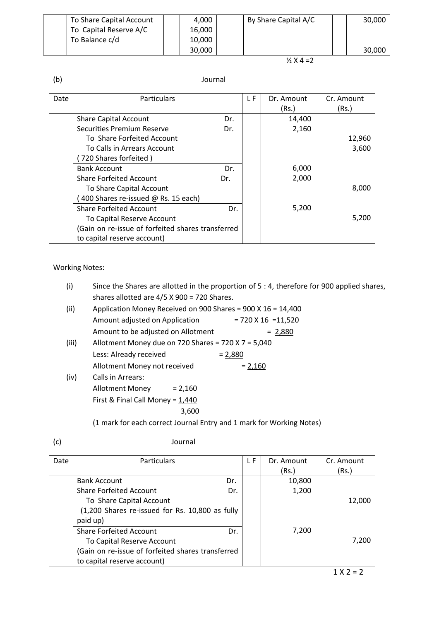| To Share Capital Account | 4,000  | By Share Capital A/C | 30,000 |
|--------------------------|--------|----------------------|--------|
| To Capital Reserve A/C   | 16.000 |                      |        |
| To Balance c/d           | 10.000 |                      |        |
|                          | 30,000 |                      | 30,000 |

### $\frac{1}{2}$  X 4 = 2

# (b) Journal

| Date | <b>Particulars</b>                                |     | L F | Dr. Amount | Cr. Amount |
|------|---------------------------------------------------|-----|-----|------------|------------|
|      |                                                   |     |     | (Rs.)      | (Rs.)      |
|      | <b>Share Capital Account</b>                      | Dr. |     | 14,400     |            |
|      | Securities Premium Reserve                        | Dr. |     | 2,160      |            |
|      | To Share Forfeited Account                        |     |     |            | 12,960     |
|      | To Calls in Arrears Account                       |     |     |            | 3,600      |
|      | 720 Shares forfeited)                             |     |     |            |            |
|      | <b>Bank Account</b>                               | Dr. |     | 6,000      |            |
|      | <b>Share Forfeited Account</b>                    | Dr. |     | 2,000      |            |
|      | To Share Capital Account                          |     |     |            | 8,000      |
|      | 400 Shares re-issued @ Rs. 15 each)               |     |     |            |            |
|      | <b>Share Forfeited Account</b>                    | Dr. |     | 5,200      |            |
|      | To Capital Reserve Account                        |     |     |            | 5,200      |
|      | (Gain on re-issue of forfeited shares transferred |     |     |            |            |
|      | to capital reserve account)                       |     |     |            |            |

Working Notes:

| (i)   | Since the Shares are allotted in the proportion of 5 : 4, therefore for 900 applied shares, |  |  |  |  |  |  |  |
|-------|---------------------------------------------------------------------------------------------|--|--|--|--|--|--|--|
|       | shares allotted are 4/5 X 900 = 720 Shares.                                                 |  |  |  |  |  |  |  |
| (ii)  | Application Money Received on 900 Shares = 900 X $16 = 14,400$                              |  |  |  |  |  |  |  |
|       | Amount adjusted on Application $= 720 \times 16 = 11,520$                                   |  |  |  |  |  |  |  |
|       | Amount to be adjusted on Allotment<br>$= 2,880$                                             |  |  |  |  |  |  |  |
| (iii) | Allotment Money due on 720 Shares = 720 X 7 = 5,040                                         |  |  |  |  |  |  |  |
|       | Less: Already received<br>$= 2,880$                                                         |  |  |  |  |  |  |  |
|       | Allotment Money not received<br>$= 2,160$                                                   |  |  |  |  |  |  |  |
| (iv)  | Calls in Arrears:                                                                           |  |  |  |  |  |  |  |
|       | Allotment Money<br>$= 2,160$                                                                |  |  |  |  |  |  |  |
|       | First & Final Call Money = $1,440$                                                          |  |  |  |  |  |  |  |
|       | 3,600                                                                                       |  |  |  |  |  |  |  |
|       | (1 mark for each correct Journal Entry and 1 mark for Working Notes)                        |  |  |  |  |  |  |  |
|       |                                                                                             |  |  |  |  |  |  |  |

| (c) |
|-----|
|-----|

| Date | Particulars                                       |     | L F | Dr. Amount | Cr. Amount |
|------|---------------------------------------------------|-----|-----|------------|------------|
|      |                                                   |     |     | (Rs.)      | (Rs.)      |
|      | <b>Bank Account</b>                               | Dr. |     | 10,800     |            |
|      | <b>Share Forfeited Account</b>                    | Dr. |     | 1,200      |            |
|      | To Share Capital Account                          |     |     |            | 12,000     |
|      | (1,200 Shares re-issued for Rs. 10,800 as fully   |     |     |            |            |
|      | paid up)                                          |     |     |            |            |
|      | <b>Share Forfeited Account</b>                    | Dr. |     | 7,200      |            |
|      | To Capital Reserve Account                        |     |     |            | 7,200      |
|      | (Gain on re-issue of forfeited shares transferred |     |     |            |            |
|      | to capital reserve account)                       |     |     |            |            |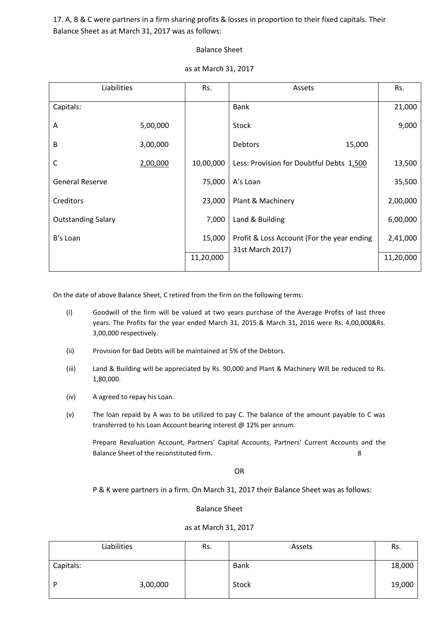17. A, B & C were partners in a firm sharing profits & losses in proportion to their fixed capitals. Their Balance Sheet as at March 31, 2017 was as follows:

#### Balance Sheet

| Liabilities               |          | Rs.       | Assets                                                         | Rs.       |
|---------------------------|----------|-----------|----------------------------------------------------------------|-----------|
| Capitals:                 |          |           | <b>Bank</b>                                                    | 21,000    |
| A                         | 5,00,000 |           | Stock                                                          | 9,000     |
| B                         | 3,00,000 |           | <b>Debtors</b><br>15,000                                       |           |
| $\mathsf{C}$              | 2,00,000 | 10,00,000 | Less: Provision for Doubtful Debts 1,500                       | 13,500    |
| <b>General Reserve</b>    |          | 75,000    | A's Loan                                                       | 35,500    |
| Creditors                 |          | 23,000    | Plant & Machinery                                              | 2,00,000  |
| <b>Outstanding Salary</b> |          | 7,000     | Land & Building                                                | 6,00,000  |
| B's Loan                  |          | 15,000    | Profit & Loss Account (For the year ending<br>31st March 2017) | 2,41,000  |
|                           |          | 11,20,000 |                                                                | 11,20,000 |

#### as at March 31, 2017

On the date of above Balance Sheet, C retired from the firm on the following terms:

- (i) Goodwill of the firm will be valued at two years purchase of the Average Profits of last three years. The Profits for the year ended March 31, 2015 & March 31, 2016 were Rs. 4,00,000&Rs. 3,00,000 respectively.
- (ii) Provision for Bad Debts will be maintained at 5% of the Debtors.
- (iii) Land & Building will be appreciated by Rs. 90,000 and Plant & Machinery Will be reduced to Rs. 1,80,000.
- (iv) A agreed to repay his Loan.
- (v) The loan repaid by A was to be utilized to pay C. The balance of the amount payable to C was transferred to his Loan Account bearing interest @ 12% per annum.

Prepare Revaluation Account, Partners' Capital Accounts, Partners' Current Accounts and the Balance Sheet of the reconstituted firm. 8

OR

P & K were partners in a firm. On March 31, 2017 their Balance Sheet was as follows:

#### Balance Sheet

#### as at March 31, 2017

|           | Liabilities | Rs. | Assets | Rs.    |
|-----------|-------------|-----|--------|--------|
| Capitals: |             |     | Bank   | 18,000 |
| D         | 3,00,000    |     | Stock  | 19,000 |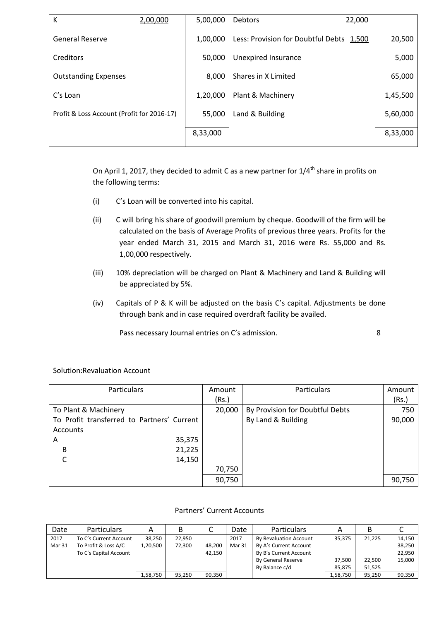| К                                          | 2,00,000 | 5,00,000 | <b>Debtors</b><br>22,000                 |          |
|--------------------------------------------|----------|----------|------------------------------------------|----------|
| <b>General Reserve</b>                     |          | 1,00,000 | Less: Provision for Doubtful Debts 1,500 | 20,500   |
| Creditors                                  |          | 50,000   | Unexpired Insurance                      | 5,000    |
| <b>Outstanding Expenses</b>                |          | 8,000    | Shares in X Limited                      | 65,000   |
| C's Loan                                   |          | 1,20,000 | Plant & Machinery                        | 1,45,500 |
| Profit & Loss Account (Profit for 2016-17) |          | 55,000   | Land & Building                          | 5,60,000 |
|                                            |          | 8,33,000 |                                          | 8,33,000 |
|                                            |          |          |                                          |          |

On April 1, 2017, they decided to admit C as a new partner for  $1/4^{\text{th}}$  share in profits on the following terms:

- (i) C's Loan will be converted into his capital.
- (ii) C will bring his share of goodwill premium by cheque. Goodwill of the firm will be calculated on the basis of Average Profits of previous three years. Profits for the year ended March 31, 2015 and March 31, 2016 were Rs. 55,000 and Rs. 1,00,000 respectively.
- (iii) 10% depreciation will be charged on Plant & Machinery and Land & Building will be appreciated by 5%.
- (iv) Capitals of P & K will be adjusted on the basis C's capital. Adjustments be done through bank and in case required overdraft facility be availed.

Pass necessary Journal entries on C's admission. 8

| <b>Particulars</b>                         | Amount | <b>Particulars</b>              | Amount |
|--------------------------------------------|--------|---------------------------------|--------|
|                                            | (Rs.)  |                                 | (Rs.)  |
| To Plant & Machinery                       | 20,000 | By Provision for Doubtful Debts | 750    |
| To Profit transferred to Partners' Current |        | By Land & Building              | 90,000 |
| Accounts                                   |        |                                 |        |
| 35,375<br>A                                |        |                                 |        |
| 21,225<br>B                                |        |                                 |        |
| 14,150                                     |        |                                 |        |
|                                            | 70,750 |                                 |        |
|                                            | 90,750 |                                 | 90,750 |

### Solution:Revaluation Account

#### Partners' Current Accounts

| Date   | <b>Particulars</b>     |          |        |        | Date   | <b>Particulars</b>     |          |        |        |
|--------|------------------------|----------|--------|--------|--------|------------------------|----------|--------|--------|
| 2017   | To C's Current Account | 38.250   | 22.950 |        | 2017   | By Revaluation Account | 35,375   | 21.225 | 14.150 |
| Mar 31 | To Profit & Loss A/C   | 1,20,500 | 72,300 | 48,200 | Mar 31 | By A's Current Account |          |        | 38,250 |
|        | To C's Capital Account |          |        | 42,150 |        | By B's Current Account |          |        | 22.950 |
|        |                        |          |        |        |        | By General Reserve     | 37.500   | 22,500 | 15,000 |
|        |                        |          |        |        |        | By Balance c/d         | 85,875   | 51,525 |        |
|        |                        | 1,58,750 | 95,250 | 90,350 |        |                        | 1,58,750 | 95,250 | 90,350 |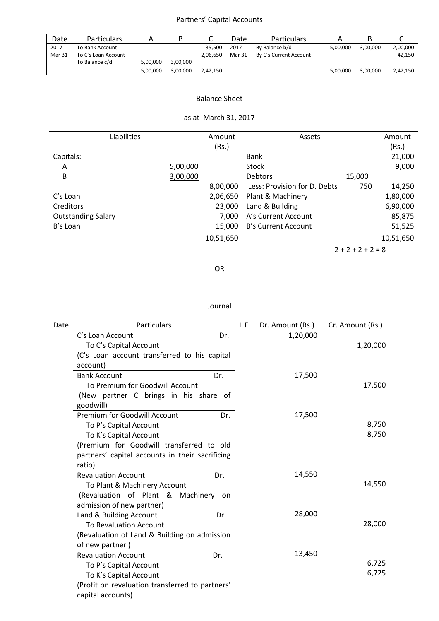## Partners' Capital Accounts

| Date           | <b>Particulars</b>                                       |          |          |                    | Date           | <b>Particulars</b>                       |          |          |                    |
|----------------|----------------------------------------------------------|----------|----------|--------------------|----------------|------------------------------------------|----------|----------|--------------------|
| 2017<br>Mar 31 | To Bank Account<br>To C's Loan Account<br>To Balance c/d | 5,00,000 | 3,00,000 | 35,500<br>2,06,650 | 2017<br>Mar 31 | By Balance b/d<br>By C's Current Account | 5,00,000 | 3,00,000 | 2,00,000<br>42,150 |
|                |                                                          | 5,00,000 | 3,00,000 | 2.42.150           |                |                                          | 5,00,000 | 3,00,000 | 2,42,150           |

### Balance Sheet

# as at March 31, 2017

| Liabilities               |          | Amount    | Assets                       |        | Amount    |
|---------------------------|----------|-----------|------------------------------|--------|-----------|
|                           |          | (Rs.)     |                              |        | (Rs.)     |
| Capitals:                 |          |           | Bank                         |        | 21,000    |
| A                         | 5,00,000 |           | Stock                        |        | 9,000     |
| B                         | 3,00,000 |           | <b>Debtors</b>               | 15,000 |           |
|                           |          | 8,00,000  | Less: Provision for D. Debts | 750    | 14,250    |
| C's Loan                  |          | 2,06,650  | Plant & Machinery            |        | 1,80,000  |
| Creditors                 |          | 23,000    | Land & Building              |        | 6,90,000  |
| <b>Outstanding Salary</b> |          | 7,000     | A's Current Account          |        | 85,875    |
| B's Loan                  |          | 15,000    | B's Current Account          |        | 51,525    |
|                           |          | 10,51,650 |                              |        | 10,51,650 |

 $2 + 2 + 2 + 2 = 8$ 

OR

| Date | Particulars                                     | L F | Dr. Amount (Rs.) | Cr. Amount (Rs.) |
|------|-------------------------------------------------|-----|------------------|------------------|
|      | C's Loan Account<br>Dr.                         |     | 1,20,000         |                  |
|      | To C's Capital Account                          |     |                  | 1,20,000         |
|      | (C's Loan account transferred to his capital    |     |                  |                  |
|      | account)                                        |     |                  |                  |
|      | <b>Bank Account</b><br>Dr.                      |     | 17,500           |                  |
|      | To Premium for Goodwill Account                 |     |                  | 17,500           |
|      | (New partner C brings in his share of           |     |                  |                  |
|      | goodwill)                                       |     |                  |                  |
|      | <b>Premium for Goodwill Account</b><br>Dr.      |     | 17,500           |                  |
|      | To P's Capital Account                          |     |                  | 8,750            |
|      | To K's Capital Account                          |     |                  | 8,750            |
|      | (Premium for Goodwill transferred to old        |     |                  |                  |
|      | partners' capital accounts in their sacrificing |     |                  |                  |
|      | ratio)                                          |     |                  |                  |
|      | <b>Revaluation Account</b><br>Dr.               |     | 14,550           |                  |
|      | To Plant & Machinery Account                    |     |                  | 14,550           |
|      | (Revaluation of Plant & Machinery on            |     |                  |                  |
|      | admission of new partner)                       |     |                  |                  |
|      | Land & Building Account<br>Dr.                  |     | 28,000           |                  |
|      | <b>To Revaluation Account</b>                   |     |                  | 28,000           |
|      | (Revaluation of Land & Building on admission    |     |                  |                  |
|      | of new partner)                                 |     |                  |                  |
|      | <b>Revaluation Account</b><br>Dr.               |     | 13,450           |                  |
|      | To P's Capital Account                          |     |                  | 6,725            |
|      | To K's Capital Account                          |     |                  | 6,725            |
|      | (Profit on revaluation transferred to partners' |     |                  |                  |
|      | capital accounts)                               |     |                  |                  |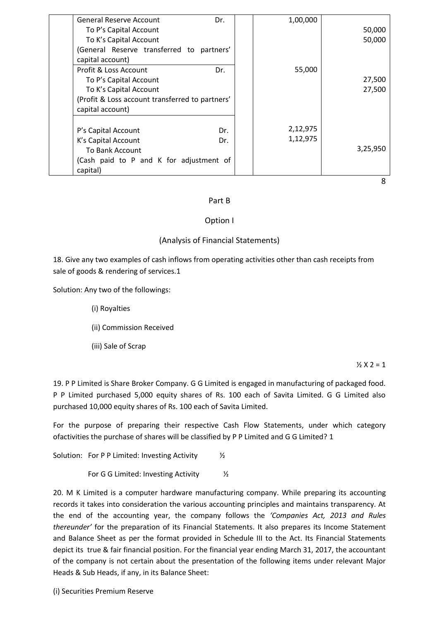| General Reserve Account                         | Dr. | 1,00,000 |          |
|-------------------------------------------------|-----|----------|----------|
| To P's Capital Account                          |     |          | 50,000   |
| To K's Capital Account                          |     |          | 50,000   |
| (General Reserve transferred to partners'       |     |          |          |
| capital account)                                |     |          |          |
| Profit & Loss Account                           | Dr. | 55,000   |          |
| To P's Capital Account                          |     |          | 27,500   |
| To K's Capital Account                          |     |          | 27,500   |
| (Profit & Loss account transferred to partners' |     |          |          |
| capital account)                                |     |          |          |
| P's Capital Account                             | Dr. | 2,12,975 |          |
| K's Capital Account                             | Dr. | 1,12,975 |          |
| <b>To Bank Account</b>                          |     |          | 3,25,950 |
| (Cash paid to P and K for adjustment of         |     |          |          |
| capital)                                        |     |          |          |
|                                                 |     |          | 8        |

#### Part B

### Option I

### (Analysis of Financial Statements)

18. Give any two examples of cash inflows from operating activities other than cash receipts from sale of goods & rendering of services.1

Solution: Any two of the followings:

- (i) Royalties
- (ii) Commission Received
- (iii) Sale of Scrap

 $\frac{1}{2}$  X 2 = 1

19. P P Limited is Share Broker Company. G G Limited is engaged in manufacturing of packaged food. P P Limited purchased 5,000 equity shares of Rs. 100 each of Savita Limited. G G Limited also purchased 10,000 equity shares of Rs. 100 each of Savita Limited.

For the purpose of preparing their respective Cash Flow Statements, under which category ofactivities the purchase of shares will be classified by P P Limited and G G Limited? 1

Solution: For P P Limited: Investing Activity  $\frac{1}{2}$ 

For G G Limited: Investing Activity  $\frac{1}{2}$ 

20. M K Limited is a computer hardware manufacturing company. While preparing its accounting records it takes into consideration the various accounting principles and maintains transparency. At the end of the accounting year, the company follows the *'Companies Act, 2013 and Rules thereunder'* for the preparation of its Financial Statements. It also prepares its Income Statement and Balance Sheet as per the format provided in Schedule III to the Act. Its Financial Statements depict its true & fair financial position. For the financial year ending March 31, 2017, the accountant of the company is not certain about the presentation of the following items under relevant Major Heads & Sub Heads, if any, in its Balance Sheet:

(i) Securities Premium Reserve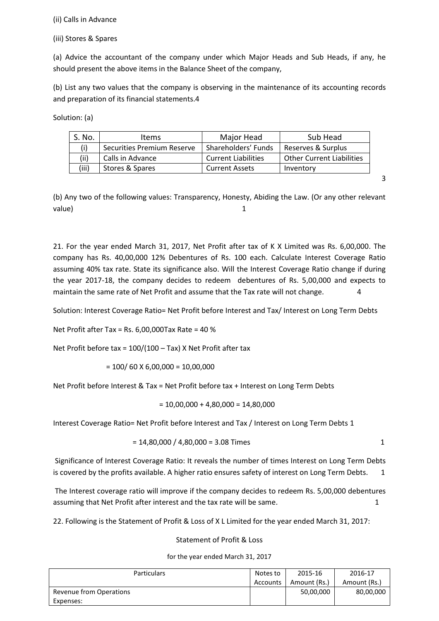(ii) Calls in Advance

(iii) Stores & Spares

(a) Advice the accountant of the company under which Major Heads and Sub Heads, if any, he should present the above items in the Balance Sheet of the company,

(b) List any two values that the company is observing in the maintenance of its accounting records and preparation of its financial statements.4

Solution: (a)

| S. No. | ltems                      | Major Head                 | Sub Head                         |
|--------|----------------------------|----------------------------|----------------------------------|
|        | Securities Premium Reserve | Shareholders' Funds        | Reserves & Surplus               |
| (ii)   | Calls in Advance           | <b>Current Liabilities</b> | <b>Other Current Liabilities</b> |
| (iii)  | Stores & Spares            | <b>Current Assets</b>      | Inventory                        |

3

(b) Any two of the following values: Transparency, Honesty, Abiding the Law. (Or any other relevant  $value)$ 

21. For the year ended March 31, 2017, Net Profit after tax of K X Limited was Rs. 6,00,000. The company has Rs. 40,00,000 12% Debentures of Rs. 100 each. Calculate Interest Coverage Ratio assuming 40% tax rate. State its significance also. Will the Interest Coverage Ratio change if during the year 2017-18, the company decides to redeem debentures of Rs. 5,00,000 and expects to maintain the same rate of Net Profit and assume that the Tax rate will not change. 4

Solution: Interest Coverage Ratio= Net Profit before Interest and Tax/ Interest on Long Term Debts

Net Profit after Tax = Rs. 6,00,000Tax Rate = 40 %

Net Profit before tax = 100/(100 – Tax) X Net Profit after tax

$$
= 100/60 \times 6{,}00{,}000 = 10{,}00{,}000
$$

Net Profit before Interest & Tax = Net Profit before tax + Interest on Long Term Debts

$$
= 10,00,000 + 4,80,000 = 14,80,000
$$

Interest Coverage Ratio= Net Profit before Interest and Tax / Interest on Long Term Debts 1

$$
= 14,80,000 / 4,80,000 = 3.08 \text{ Times}
$$

Significance of Interest Coverage Ratio: It reveals the number of times Interest on Long Term Debts is covered by the profits available. A higher ratio ensures safety of interest on Long Term Debts. 1

The Interest coverage ratio will improve if the company decides to redeem Rs. 5,00,000 debentures assuming that Net Profit after interest and the tax rate will be same. 1

22. Following is the Statement of Profit & Loss of X L Limited for the year ended March 31, 2017:

#### Statement of Profit & Loss

for the year ended March 31, 2017

| <b>Particulars</b><br>Notes to |          | 2015-16      | 2016-17      |
|--------------------------------|----------|--------------|--------------|
|                                | Accounts | Amount (Rs.) | Amount (Rs.) |
| <b>Revenue from Operations</b> |          | 50,00,000    | 80,00,000    |
| Expenses:                      |          |              |              |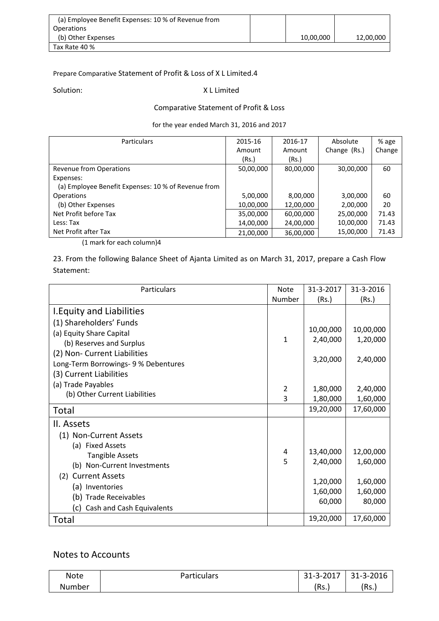| (a) Employee Benefit Expenses: 10 % of Revenue from |           |           |
|-----------------------------------------------------|-----------|-----------|
| <b>Operations</b>                                   |           |           |
| (b) Other Expenses                                  | 10,00,000 | 12,00,000 |
| Tax Rate 40 %                                       |           |           |

### Prepare Comparative Statement of Profit & Loss of X L Limited.4

### Solution: X L Limited

### Comparative Statement of Profit & Loss

for the year ended March 31, 2016 and 2017

| <b>Particulars</b>                                  | 2015-16   | 2016-17   | Absolute     | % age  |
|-----------------------------------------------------|-----------|-----------|--------------|--------|
|                                                     | Amount    | Amount    | Change (Rs.) | Change |
|                                                     | (Rs.)     | (Rs.)     |              |        |
| Revenue from Operations                             | 50,00,000 | 80,00,000 | 30,00,000    | 60     |
| Expenses:                                           |           |           |              |        |
| (a) Employee Benefit Expenses: 10 % of Revenue from |           |           |              |        |
| <b>Operations</b>                                   | 5,00,000  | 8,00,000  | 3,00,000     | 60     |
| (b) Other Expenses                                  | 10,00,000 | 12,00,000 | 2,00,000     | 20     |
| Net Profit before Tax                               | 35,00,000 | 60,00,000 | 25,00,000    | 71.43  |
| Less: Tax                                           | 14,00,000 | 24,00,000 | 10,00,000    | 71.43  |
| Net Profit after Tax                                | 21,00,000 | 36,00,000 | 15,00,000    | 71.43  |

(1 mark for each column)4

23. From the following Balance Sheet of Ajanta Limited as on March 31, 2017, prepare a Cash Flow Statement:

| Particulars                                                          | <b>Note</b> | 31-3-2017          | 31-3-2016          |
|----------------------------------------------------------------------|-------------|--------------------|--------------------|
|                                                                      | Number      | (Rs.)              | (Rs.)              |
| I. Equity and Liabilities                                            |             |                    |                    |
| (1) Shareholders' Funds                                              |             | 10,00,000          | 10,00,000          |
| (a) Equity Share Capital<br>(b) Reserves and Surplus                 | 1           | 2,40,000           | 1,20,000           |
| (2) Non- Current Liabilities<br>Long-Term Borrowings- 9 % Debentures |             | 3,20,000           | 2,40,000           |
| (3) Current Liabilities                                              |             |                    |                    |
| (a) Trade Payables                                                   | 2           | 1,80,000           | 2,40,000           |
| (b) Other Current Liabilities                                        | 3           | 1,80,000           | 1,60,000           |
| Total                                                                |             | 19,20,000          | 17,60,000          |
| II. Assets                                                           |             |                    |                    |
| (1) Non-Current Assets                                               |             |                    |                    |
| (a) Fixed Assets                                                     |             |                    |                    |
| <b>Tangible Assets</b>                                               | 4           | 13,40,000          | 12,00,000          |
| (b) Non-Current Investments                                          | 5           | 2,40,000           | 1,60,000           |
| (2) Current Assets                                                   |             | 1,20,000           | 1,60,000           |
| (a) Inventories                                                      |             |                    |                    |
| (b) Trade Receivables                                                |             | 1,60,000<br>60,000 | 1,60,000<br>80,000 |
| Cash and Cash Equivalents<br>(c)                                     |             |                    |                    |
| Total                                                                |             | 19,20,000          | 17,60,000          |

# Notes to Accounts

| <b>Note</b> | Particulars | 31-3-2017 | 31-3-2016 |
|-------------|-------------|-----------|-----------|
| Number      |             | (Rs.      | (Rs.      |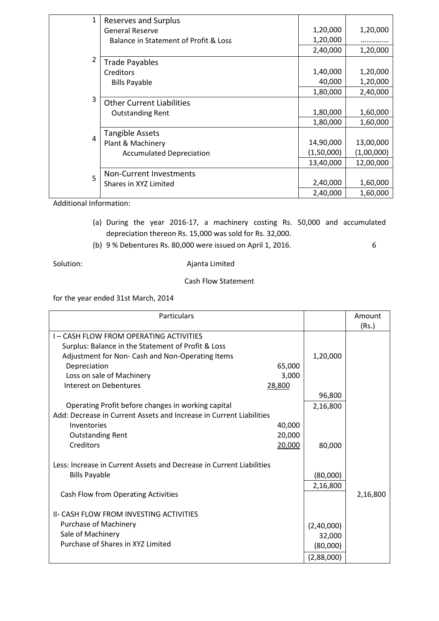| 1 | <b>Reserves and Surplus</b>           |            |            |
|---|---------------------------------------|------------|------------|
|   | <b>General Reserve</b>                | 1,20,000   | 1,20,000   |
|   | Balance in Statement of Profit & Loss | 1,20,000   |            |
|   |                                       | 2,40,000   | 1,20,000   |
| 2 | <b>Trade Payables</b>                 |            |            |
|   | <b>Creditors</b>                      | 1,40,000   | 1,20,000   |
|   | <b>Bills Payable</b>                  | 40,000     | 1,20,000   |
|   |                                       | 1,80,000   | 2,40,000   |
| 3 | <b>Other Current Liabilities</b>      |            |            |
|   | <b>Outstanding Rent</b>               | 1,80,000   | 1,60,000   |
|   |                                       | 1,80,000   | 1,60,000   |
|   | <b>Tangible Assets</b>                |            |            |
| 4 | Plant & Machinery                     | 14,90,000  | 13,00,000  |
|   | <b>Accumulated Depreciation</b>       | (1,50,000) | (1,00,000) |
|   |                                       | 13,40,000  | 12,00,000  |
| 5 | Non-Current Investments               |            |            |
|   | Shares in XYZ Limited                 | 2,40,000   | 1,60,000   |
|   |                                       | 2,40,000   | 1,60,000   |

Additional Information:

- (a) During the year 2016-17, a machinery costing Rs. 50,000 and accumulated depreciation thereon Rs. 15,000 was sold for Rs. 32,000.
- (b) 9 % Debentures Rs. 80,000 were issued on April 1, 2016. 6

Solution: and Ajanta Limited

### Cash Flow Statement

for the year ended 31st March, 2014

| <b>Particulars</b>                                                   |                      | Amount   |
|----------------------------------------------------------------------|----------------------|----------|
|                                                                      |                      | (Rs.)    |
| I-CASH FLOW FROM OPERATING ACTIVITIES                                |                      |          |
| Surplus: Balance in the Statement of Profit & Loss                   |                      |          |
| Adjustment for Non- Cash and Non-Operating Items                     | 1,20,000             |          |
| 65,000<br>Depreciation                                               |                      |          |
| Loss on sale of Machinery<br>3,000                                   |                      |          |
| Interest on Debentures<br>28,800                                     |                      |          |
|                                                                      | 96,800               |          |
| Operating Profit before changes in working capital                   | 2,16,800             |          |
| Add: Decrease in Current Assets and Increase in Current Liabilities  |                      |          |
| 40,000<br>Inventories                                                |                      |          |
| 20,000<br><b>Outstanding Rent</b>                                    |                      |          |
| Creditors<br>20,000                                                  | 80,000               |          |
| Less: Increase in Current Assets and Decrease in Current Liabilities |                      |          |
| <b>Bills Payable</b>                                                 | (80,000)             |          |
|                                                                      | 2,16,800             |          |
| Cash Flow from Operating Activities                                  |                      | 2,16,800 |
| II- CASH FLOW FROM INVESTING ACTIVITIES                              |                      |          |
| <b>Purchase of Machinery</b>                                         |                      |          |
| Sale of Machinery                                                    | (2,40,000)<br>32,000 |          |
| Purchase of Shares in XYZ Limited                                    | (80,000)             |          |
|                                                                      | (2,88,000)           |          |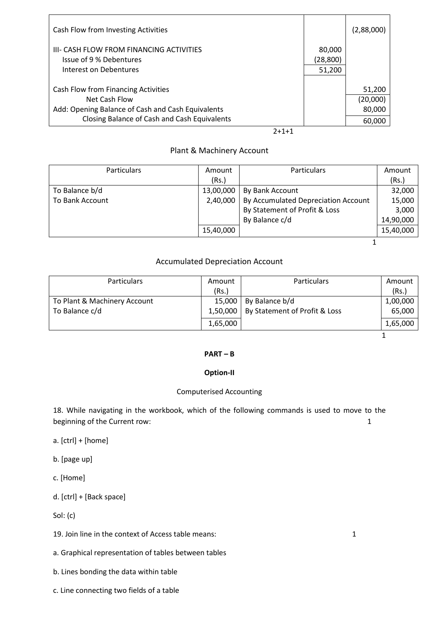| Cash Flow from Investing Activities               |           | (2,88,000) |
|---------------------------------------------------|-----------|------------|
| III- CASH FLOW FROM FINANCING ACTIVITIES          | 80,000    |            |
| Issue of 9 % Debentures                           | (28, 800) |            |
| Interest on Debentures                            | 51,200    |            |
| Cash Flow from Financing Activities               |           | 51,200     |
| Net Cash Flow                                     |           | (20,000)   |
| Add: Opening Balance of Cash and Cash Equivalents |           | 80,000     |
| Closing Balance of Cash and Cash Equivalents      |           | 60,000     |
| $2 + 1 + 1$                                       |           |            |

## Plant & Machinery Account

| <b>Particulars</b> | Amount    | Particulars                         | Amount    |
|--------------------|-----------|-------------------------------------|-----------|
|                    | (Rs.)     |                                     | (Rs.)     |
| To Balance b/d     | 13,00,000 | By Bank Account                     | 32,000    |
| To Bank Account    | 2,40,000  | By Accumulated Depreciation Account | 15,000    |
|                    |           | By Statement of Profit & Loss       | 3,000     |
|                    |           | By Balance c/d                      | 14,90,000 |
|                    | 15,40,000 |                                     | 15,40,000 |
|                    |           |                                     |           |

### Accumulated Depreciation Account

| <b>Particulars</b>           | Amount   | <b>Particulars</b>            | Amount   |
|------------------------------|----------|-------------------------------|----------|
|                              | (Rs.)    |                               | (Rs.)    |
| To Plant & Machinery Account | 15,000   | By Balance b/d                | 1,00,000 |
| To Balance c/d               | 1,50,000 | By Statement of Profit & Loss | 65,000   |
|                              | 1,65,000 |                               | 1,65,000 |
|                              |          |                               |          |

#### **PART – B**

### **Option-II**

#### Computerised Accounting

18. While navigating in the workbook, which of the following commands is used to move to the beginning of the Current row: 1

- a. [ctrl] + [home]
- b. [page up]
- c. [Home]
- d. [ctrl] + [Back space]

Sol: (c)

- 19. Join line in the context of Access table means: 1
- a. Graphical representation of tables between tables
- b. Lines bonding the data within table
- c. Line connecting two fields of a table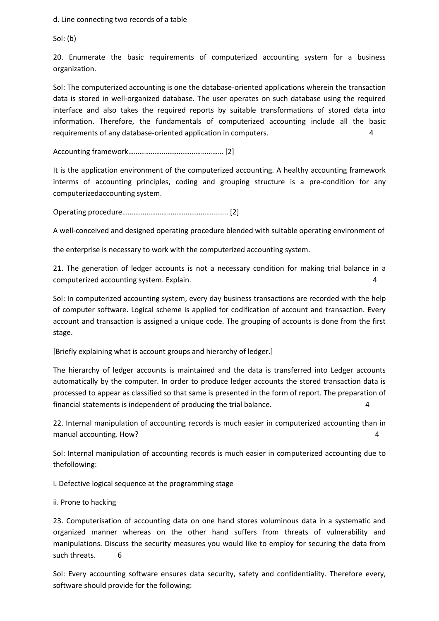d. Line connecting two records of a table

Sol: (b)

20. Enumerate the basic requirements of computerized accounting system for a business organization.

Sol: The computerized accounting is one the database-oriented applications wherein the transaction data is stored in well-organized database. The user operates on such database using the required interface and also takes the required reports by suitable transformations of stored data into information. Therefore, the fundamentals of computerized accounting include all the basic requirements of any database-oriented application in computers. 4

Accounting framework…………………………………………… [2]

It is the application environment of the computerized accounting. A healthy accounting framework interms of accounting principles, coding and grouping structure is a pre-condition for any computerizedaccounting system.

Operating procedure…………………………………………........ [2]

A well-conceived and designed operating procedure blended with suitable operating environment of

the enterprise is necessary to work with the computerized accounting system.

21. The generation of ledger accounts is not a necessary condition for making trial balance in a computerized accounting system. Explain. 4

Sol: In computerized accounting system, every day business transactions are recorded with the help of computer software. Logical scheme is applied for codification of account and transaction. Every account and transaction is assigned a unique code. The grouping of accounts is done from the first stage.

[Briefly explaining what is account groups and hierarchy of ledger.]

The hierarchy of ledger accounts is maintained and the data is transferred into Ledger accounts automatically by the computer. In order to produce ledger accounts the stored transaction data is processed to appear as classified so that same is presented in the form of report. The preparation of financial statements is independent of producing the trial balance. 4

22. Internal manipulation of accounting records is much easier in computerized accounting than in manual accounting. How? 4

Sol: Internal manipulation of accounting records is much easier in computerized accounting due to thefollowing:

i. Defective logical sequence at the programming stage

ii. Prone to hacking

23. Computerisation of accounting data on one hand stores voluminous data in a systematic and organized manner whereas on the other hand suffers from threats of vulnerability and manipulations. Discuss the security measures you would like to employ for securing the data from such threats. 6

Sol: Every accounting software ensures data security, safety and confidentiality. Therefore every, software should provide for the following: